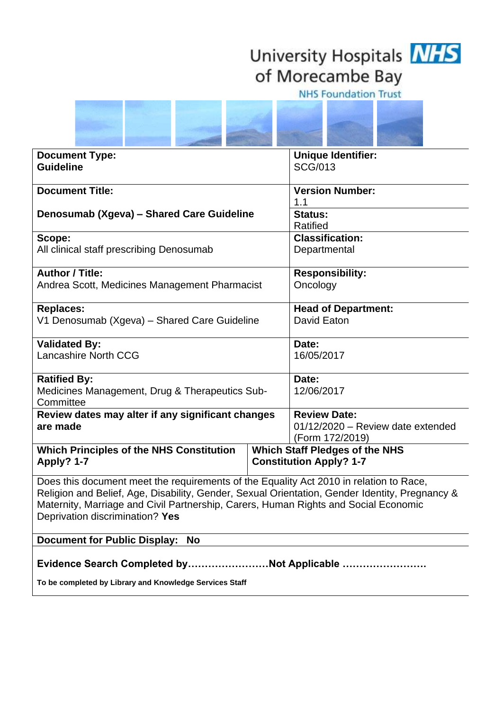## University Hospitals **NHS** of Morecambe Bay

**NHS Foundation Trust** 

| <b>Document Type:</b><br><b>Guideline</b>                                                                                                                                                                                                                                                                          |  | <b>Unique Identifier:</b><br><b>SCG/013</b>                                 |  |
|--------------------------------------------------------------------------------------------------------------------------------------------------------------------------------------------------------------------------------------------------------------------------------------------------------------------|--|-----------------------------------------------------------------------------|--|
| <b>Document Title:</b>                                                                                                                                                                                                                                                                                             |  | <b>Version Number:</b>                                                      |  |
| Denosumab (Xgeva) - Shared Care Guideline                                                                                                                                                                                                                                                                          |  | Status:<br>Ratified                                                         |  |
| Scope:<br>All clinical staff prescribing Denosumab                                                                                                                                                                                                                                                                 |  | <b>Classification:</b><br>Departmental                                      |  |
| <b>Author / Title:</b><br>Andrea Scott, Medicines Management Pharmacist                                                                                                                                                                                                                                            |  | <b>Responsibility:</b><br>Oncology                                          |  |
| <b>Replaces:</b><br>V1 Denosumab (Xgeva) - Shared Care Guideline                                                                                                                                                                                                                                                   |  | <b>Head of Department:</b><br>David Eaton                                   |  |
| <b>Validated By:</b><br><b>Lancashire North CCG</b>                                                                                                                                                                                                                                                                |  | 16/05/2017                                                                  |  |
| <b>Ratified By:</b><br>Medicines Management, Drug & Therapeutics Sub-<br>Committee                                                                                                                                                                                                                                 |  | 12/06/2017                                                                  |  |
| Review dates may alter if any significant changes<br>are made                                                                                                                                                                                                                                                      |  | <b>Review Date:</b><br>01/12/2020 - Review date extended<br>(Form 172/2019) |  |
| <b>Which Principles of the NHS Constitution</b><br><b>Which Staff Pledges of the NHS</b><br><b>Constitution Apply? 1-7</b><br>Apply? 1-7                                                                                                                                                                           |  |                                                                             |  |
| Does this document meet the requirements of the Equality Act 2010 in relation to Race,<br>Religion and Belief, Age, Disability, Gender, Sexual Orientation, Gender Identity, Pregnancy &<br>Maternity, Marriage and Civil Partnership, Carers, Human Rights and Social Economic<br>Deprivation discrimination? Yes |  |                                                                             |  |
| Document for Public Display: No                                                                                                                                                                                                                                                                                    |  |                                                                             |  |
| Evidence Search Completed byNot Applicable<br>To be completed by Library and Knowledge Services Staff                                                                                                                                                                                                              |  |                                                                             |  |
|                                                                                                                                                                                                                                                                                                                    |  |                                                                             |  |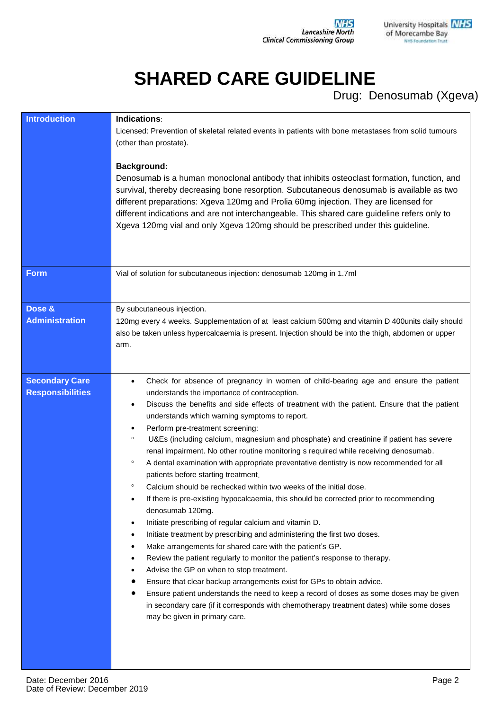## **SHARED CARE GUIDELINE**

Drug: Denosumab (Xgeva)

| <b>Introduction</b>                              | Indications:<br>Licensed: Prevention of skeletal related events in patients with bone metastases from solid tumours<br>(other than prostate).<br><b>Background:</b><br>Denosumab is a human monoclonal antibody that inhibits osteoclast formation, function, and<br>survival, thereby decreasing bone resorption. Subcutaneous denosumab is available as two<br>different preparations: Xgeva 120mg and Prolia 60mg injection. They are licensed for<br>different indications and are not interchangeable. This shared care guideline refers only to<br>Xgeva 120mg vial and only Xgeva 120mg should be prescribed under this guideline.                                                                                                                                                                                                                                                                                                                                                                                                                                                                                                                                                                                                                                                                                                                                                                                                                                                                                                                                                     |
|--------------------------------------------------|-----------------------------------------------------------------------------------------------------------------------------------------------------------------------------------------------------------------------------------------------------------------------------------------------------------------------------------------------------------------------------------------------------------------------------------------------------------------------------------------------------------------------------------------------------------------------------------------------------------------------------------------------------------------------------------------------------------------------------------------------------------------------------------------------------------------------------------------------------------------------------------------------------------------------------------------------------------------------------------------------------------------------------------------------------------------------------------------------------------------------------------------------------------------------------------------------------------------------------------------------------------------------------------------------------------------------------------------------------------------------------------------------------------------------------------------------------------------------------------------------------------------------------------------------------------------------------------------------|
| <b>Form</b>                                      | Vial of solution for subcutaneous injection: denosumab 120mg in 1.7ml                                                                                                                                                                                                                                                                                                                                                                                                                                                                                                                                                                                                                                                                                                                                                                                                                                                                                                                                                                                                                                                                                                                                                                                                                                                                                                                                                                                                                                                                                                                         |
| Dose &<br><b>Administration</b>                  | By subcutaneous injection.<br>120mg every 4 weeks. Supplementation of at least calcium 500mg and vitamin D 400units daily should<br>also be taken unless hypercalcaemia is present. Injection should be into the thigh, abdomen or upper<br>arm.                                                                                                                                                                                                                                                                                                                                                                                                                                                                                                                                                                                                                                                                                                                                                                                                                                                                                                                                                                                                                                                                                                                                                                                                                                                                                                                                              |
| <b>Secondary Care</b><br><b>Responsibilities</b> | Check for absence of pregnancy in women of child-bearing age and ensure the patient<br>$\bullet$<br>understands the importance of contraception.<br>Discuss the benefits and side effects of treatment with the patient. Ensure that the patient<br>$\bullet$<br>understands which warning symptoms to report.<br>Perform pre-treatment screening:<br>$\bullet$<br>U&Es (including calcium, magnesium and phosphate) and creatinine if patient has severe<br>$\circ$<br>renal impairment. No other routine monitoring s required while receiving denosumab.<br>A dental examination with appropriate preventative dentistry is now recommended for all<br>$\circ$<br>patients before starting treatment.<br>$\circ$<br>Calcium should be rechecked within two weeks of the initial dose.<br>If there is pre-existing hypocalcaemia, this should be corrected prior to recommending<br>$\bullet$<br>denosumab 120mg.<br>Initiate prescribing of regular calcium and vitamin D.<br>$\bullet$<br>Initiate treatment by prescribing and administering the first two doses.<br>$\bullet$<br>Make arrangements for shared care with the patient's GP.<br>$\bullet$<br>Review the patient regularly to monitor the patient's response to therapy.<br>٠<br>Advise the GP on when to stop treatment.<br>Ensure that clear backup arrangements exist for GPs to obtain advice.<br>Ensure patient understands the need to keep a record of doses as some doses may be given<br>in secondary care (if it corresponds with chemotherapy treatment dates) while some doses<br>may be given in primary care. |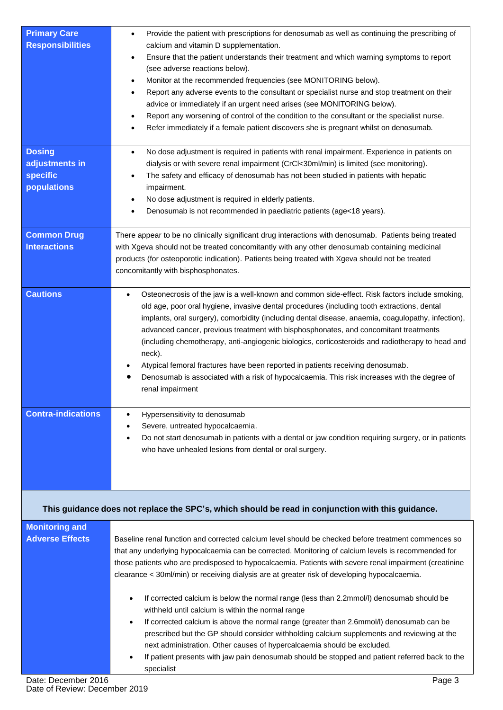| <b>Primary Care</b><br><b>Responsibilities</b>             | Provide the patient with prescriptions for denosumab as well as continuing the prescribing of<br>calcium and vitamin D supplementation.<br>Ensure that the patient understands their treatment and which warning symptoms to report<br>$\bullet$<br>(see adverse reactions below).<br>Monitor at the recommended frequencies (see MONITORING below).<br>٠<br>Report any adverse events to the consultant or specialist nurse and stop treatment on their<br>٠<br>advice or immediately if an urgent need arises (see MONITORING below).<br>Report any worsening of control of the condition to the consultant or the specialist nurse.<br>Refer immediately if a female patient discovers she is pregnant whilst on denosumab.                                                                                                                                                                                                                                                       |
|------------------------------------------------------------|--------------------------------------------------------------------------------------------------------------------------------------------------------------------------------------------------------------------------------------------------------------------------------------------------------------------------------------------------------------------------------------------------------------------------------------------------------------------------------------------------------------------------------------------------------------------------------------------------------------------------------------------------------------------------------------------------------------------------------------------------------------------------------------------------------------------------------------------------------------------------------------------------------------------------------------------------------------------------------------|
| <b>Dosing</b><br>adjustments in<br>specific<br>populations | No dose adjustment is required in patients with renal impairment. Experience in patients on<br>$\bullet$<br>dialysis or with severe renal impairment (CrCl<30ml/min) is limited (see monitoring).<br>The safety and efficacy of denosumab has not been studied in patients with hepatic<br>impairment.<br>No dose adjustment is required in elderly patients.<br>Denosumab is not recommended in paediatric patients (age<18 years).                                                                                                                                                                                                                                                                                                                                                                                                                                                                                                                                                 |
| <b>Common Drug</b><br><b>Interactions</b>                  | There appear to be no clinically significant drug interactions with denosumab. Patients being treated<br>with Xgeva should not be treated concomitantly with any other denosumab containing medicinal<br>products (for osteoporotic indication). Patients being treated with Xgeva should not be treated<br>concomitantly with bisphosphonates.                                                                                                                                                                                                                                                                                                                                                                                                                                                                                                                                                                                                                                      |
| <b>Cautions</b>                                            | Osteonecrosis of the jaw is a well-known and common side-effect. Risk factors include smoking,<br>old age, poor oral hygiene, invasive dental procedures (including tooth extractions, dental<br>implants, oral surgery), comorbidity (including dental disease, anaemia, coagulopathy, infection),<br>advanced cancer, previous treatment with bisphosphonates, and concomitant treatments<br>(including chemotherapy, anti-angiogenic biologics, corticosteroids and radiotherapy to head and<br>neck).<br>Atypical femoral fractures have been reported in patients receiving denosumab.<br>Denosumab is associated with a risk of hypocalcaemia. This risk increases with the degree of<br>renal impairment                                                                                                                                                                                                                                                                      |
| <b>Contra-indications</b>                                  | Hypersensitivity to denosumab<br>Severe, untreated hypocalcaemia.<br>Do not start denosumab in patients with a dental or jaw condition requiring surgery, or in patients<br>who have unhealed lesions from dental or oral surgery.                                                                                                                                                                                                                                                                                                                                                                                                                                                                                                                                                                                                                                                                                                                                                   |
|                                                            | This guidance does not replace the SPC's, which should be read in conjunction with this guidance.                                                                                                                                                                                                                                                                                                                                                                                                                                                                                                                                                                                                                                                                                                                                                                                                                                                                                    |
| <b>Monitoring and</b><br><b>Adverse Effects</b>            | Baseline renal function and corrected calcium level should be checked before treatment commences so<br>that any underlying hypocalcaemia can be corrected. Monitoring of calcium levels is recommended for<br>those patients who are predisposed to hypocalcaemia. Patients with severe renal impairment (creatinine<br>clearance < 30ml/min) or receiving dialysis are at greater risk of developing hypocalcaemia.<br>If corrected calcium is below the normal range (less than 2.2mmol/l) denosumab should be<br>$\bullet$<br>withheld until calcium is within the normal range<br>If corrected calcium is above the normal range (greater than 2.6mmol/l) denosumab can be<br>$\bullet$<br>prescribed but the GP should consider withholding calcium supplements and reviewing at the<br>next administration. Other causes of hypercalcaemia should be excluded.<br>If patient presents with jaw pain denosumab should be stopped and patient referred back to the<br>specialist |